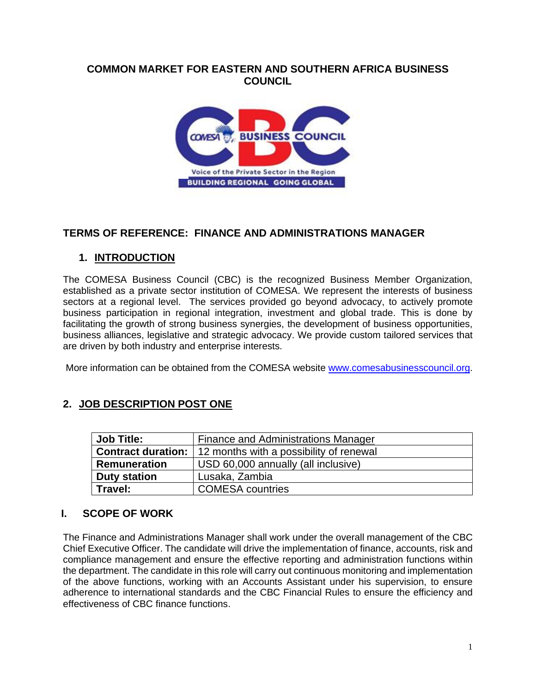### **COMMON MARKET FOR EASTERN AND SOUTHERN AFRICA BUSINESS COUNCIL**



# **TERMS OF REFERENCE: FINANCE AND ADMINISTRATIONS MANAGER**

# **1. INTRODUCTION**

The COMESA Business Council (CBC) is the recognized Business Member Organization, established as a private sector institution of COMESA. We represent the interests of business sectors at a regional level. The services provided go beyond advocacy, to actively promote business participation in regional integration, investment and global trade. This is done by facilitating the growth of strong business synergies, the development of business opportunities, business alliances, legislative and strategic advocacy. We provide custom tailored services that are driven by both industry and enterprise interests.

More information can be obtained from the COMESA website [www.comesabusinesscouncil.org.](http://www.comesabusinesscouncil.org/)

# **2. JOB DESCRIPTION POST ONE**

| <b>Job Title:</b>   | Finance and Administrations Manager                               |
|---------------------|-------------------------------------------------------------------|
|                     | <b>Contract duration:</b> 12 months with a possibility of renewal |
| <b>Remuneration</b> | USD 60,000 annually (all inclusive)                               |
| <b>Duty station</b> | Lusaka, Zambia                                                    |
| Travel:             | <b>COMESA</b> countries                                           |

# **I. SCOPE OF WORK**

The Finance and Administrations Manager shall work under the overall management of the CBC Chief Executive Officer. The candidate will drive the implementation of finance, accounts, risk and compliance management and ensure the effective reporting and administration functions within the department. The candidate in this role will carry out continuous monitoring and implementation of the above functions, working with an Accounts Assistant under his supervision, to ensure adherence to international standards and the CBC Financial Rules to ensure the efficiency and effectiveness of CBC finance functions.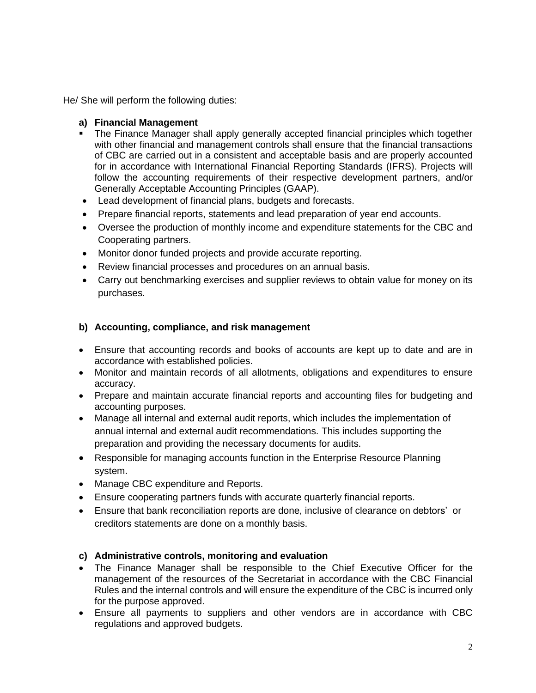He/ She will perform the following duties:

#### **a) Financial Management**

- The Finance Manager shall apply generally accepted financial principles which together with other financial and management controls shall ensure that the financial transactions of CBC are carried out in a consistent and acceptable basis and are properly accounted for in accordance with International Financial Reporting Standards (IFRS). Projects will follow the accounting requirements of their respective development partners, and/or Generally Acceptable Accounting Principles (GAAP).
- Lead development of financial plans, budgets and forecasts.
- Prepare financial reports, statements and lead preparation of year end accounts.
- Oversee the production of monthly income and expenditure statements for the CBC and Cooperating partners.
- Monitor donor funded projects and provide accurate reporting.
- Review financial processes and procedures on an annual basis.
- Carry out benchmarking exercises and supplier reviews to obtain value for money on its purchases.

#### **b) Accounting, compliance, and risk management**

- Ensure that accounting records and books of accounts are kept up to date and are in accordance with established policies.
- Monitor and maintain records of all allotments, obligations and expenditures to ensure accuracy.
- Prepare and maintain accurate financial reports and accounting files for budgeting and accounting purposes.
- Manage all internal and external audit reports, which includes the implementation of annual internal and external audit recommendations. This includes supporting the preparation and providing the necessary documents for audits.
- Responsible for managing accounts function in the Enterprise Resource Planning system.
- Manage CBC expenditure and Reports.
- Ensure cooperating partners funds with accurate quarterly financial reports.
- Ensure that bank reconciliation reports are done, inclusive of clearance on debtors' or creditors statements are done on a monthly basis.

#### **c) Administrative controls, monitoring and evaluation**

- The Finance Manager shall be responsible to the Chief Executive Officer for the management of the resources of the Secretariat in accordance with the CBC Financial Rules and the internal controls and will ensure the expenditure of the CBC is incurred only for the purpose approved.
- Ensure all payments to suppliers and other vendors are in accordance with CBC regulations and approved budgets.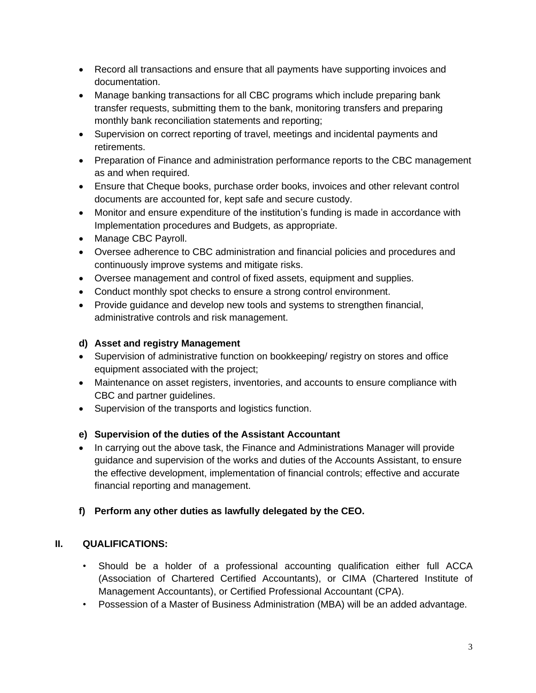- Record all transactions and ensure that all payments have supporting invoices and documentation.
- Manage banking transactions for all CBC programs which include preparing bank transfer requests, submitting them to the bank, monitoring transfers and preparing monthly bank reconciliation statements and reporting;
- Supervision on correct reporting of travel, meetings and incidental payments and retirements.
- Preparation of Finance and administration performance reports to the CBC management as and when required.
- Ensure that Cheque books, purchase order books, invoices and other relevant control documents are accounted for, kept safe and secure custody.
- Monitor and ensure expenditure of the institution's funding is made in accordance with Implementation procedures and Budgets, as appropriate.
- Manage CBC Payroll.
- Oversee adherence to CBC administration and financial policies and procedures and continuously improve systems and mitigate risks.
- Oversee management and control of fixed assets, equipment and supplies.
- Conduct monthly spot checks to ensure a strong control environment.
- Provide guidance and develop new tools and systems to strengthen financial, administrative controls and risk management.

### **d) Asset and registry Management**

- Supervision of administrative function on bookkeeping/ registry on stores and office equipment associated with the project;
- Maintenance on asset registers, inventories, and accounts to ensure compliance with CBC and partner guidelines.
- Supervision of the transports and logistics function.

#### **e) Supervision of the duties of the Assistant Accountant**

• In carrying out the above task, the Finance and Administrations Manager will provide guidance and supervision of the works and duties of the Accounts Assistant, to ensure the effective development, implementation of financial controls; effective and accurate financial reporting and management.

# **f) Perform any other duties as lawfully delegated by the CEO.**

#### **II. QUALIFICATIONS:**

- Should be a holder of a professional accounting qualification either full ACCA (Association of Chartered Certified Accountants), or CIMA (Chartered Institute of Management Accountants), or Certified Professional Accountant (CPA).
- Possession of a Master of Business Administration (MBA) will be an added advantage.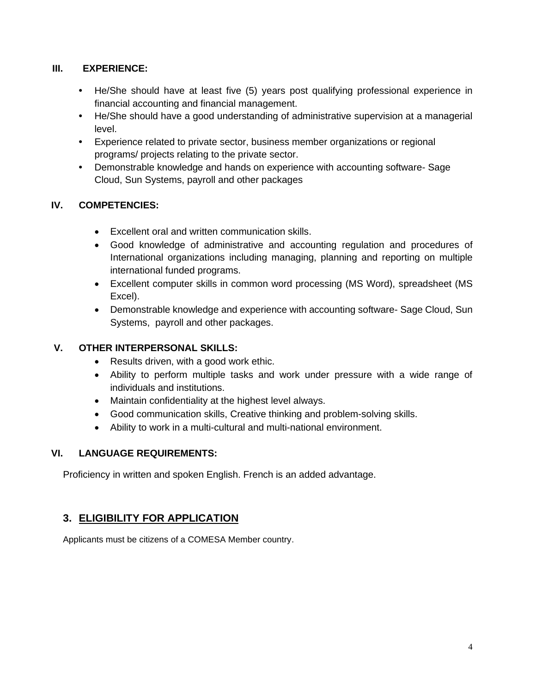### **III. EXPERIENCE:**

- **•** He/She should have at least five (5) years post qualifying professional experience in financial accounting and financial management.
- **•** He/She should have a good understanding of administrative supervision at a managerial level.
- **•** Experience related to private sector, business member organizations or regional programs/ projects relating to the private sector.
- **•** Demonstrable knowledge and hands on experience with accounting software- Sage Cloud, Sun Systems, payroll and other packages

### **IV. COMPETENCIES:**

- Excellent oral and written communication skills.
- Good knowledge of administrative and accounting regulation and procedures of International organizations including managing, planning and reporting on multiple international funded programs.
- Excellent computer skills in common word processing (MS Word), spreadsheet (MS Excel).
- Demonstrable knowledge and experience with accounting software- Sage Cloud, Sun Systems, payroll and other packages.

### **V. OTHER INTERPERSONAL SKILLS:**

- Results driven, with a good work ethic.
- Ability to perform multiple tasks and work under pressure with a wide range of individuals and institutions.
- Maintain confidentiality at the highest level always.
- Good communication skills, Creative thinking and problem-solving skills.
- Ability to work in a multi-cultural and multi-national environment.

# **VI. LANGUAGE REQUIREMENTS:**

Proficiency in written and spoken English. French is an added advantage.

# **3. ELIGIBILITY FOR APPLICATION**

Applicants must be citizens of a COMESA Member country.